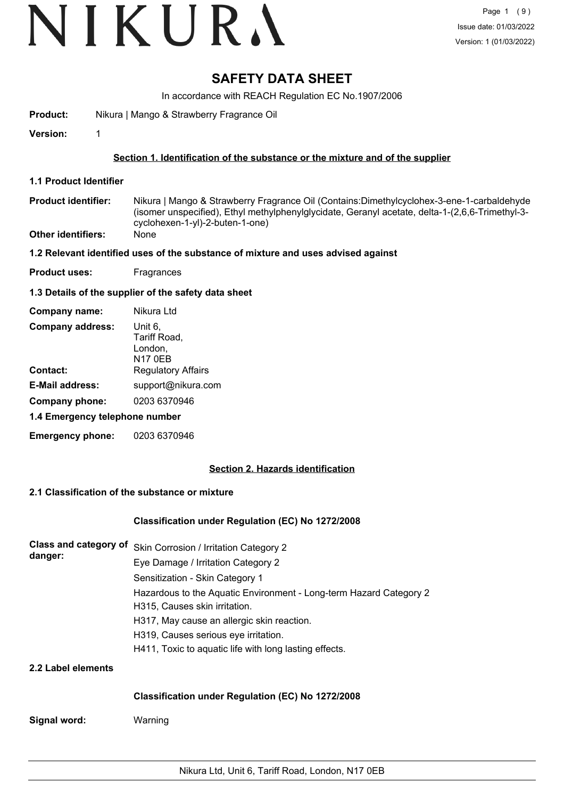# VIKURA

# **SAFETY DATA SHEET**

In accordance with REACH Regulation EC No.1907/2006

**Product:** Nikura | Mango & Strawberry Fragrance Oil

**Version:** 1

### **Section 1. Identification of the substance or the mixture and of the supplier**

- **1.1 Product Identifier**
- Nikura | Mango & Strawberry Fragrance Oil (Contains:Dimethylcyclohex-3-ene-1-carbaldehyde (isomer unspecified), Ethyl methylphenylglycidate, Geranyl acetate, delta-1-(2,6,6-Trimethyl-3 cyclohexen-1-yl)-2-buten-1-one) **Product identifier:**
- **Other identifiers:** None

#### **1.2 Relevant identified uses of the substance of mixture and uses advised against**

**Product uses:** Fragrances

#### **1.3 Details of the supplier of the safety data sheet**

| Company name:                  | Nikura Ltd                                    |  |  |  |  |
|--------------------------------|-----------------------------------------------|--|--|--|--|
| <b>Company address:</b>        | Unit 6,<br>Tariff Road,<br>London,<br>N17 0EB |  |  |  |  |
| <b>Contact:</b>                | <b>Regulatory Affairs</b>                     |  |  |  |  |
| <b>E-Mail address:</b>         | support@nikura.com                            |  |  |  |  |
| Company phone:                 | 0203 6370946                                  |  |  |  |  |
| 1.4 Emergency telephone number |                                               |  |  |  |  |
| <b>Emergency phone:</b>        | 0203 6370946                                  |  |  |  |  |

## **Section 2. Hazards identification**

### **2.1 Classification of the substance or mixture**

#### **Classification under Regulation (EC) No 1272/2008**

| danger:            | Class and category of Skin Corrosion / Irritation Category 2       |
|--------------------|--------------------------------------------------------------------|
|                    | Eye Damage / Irritation Category 2                                 |
|                    | Sensitization - Skin Category 1                                    |
|                    | Hazardous to the Aquatic Environment - Long-term Hazard Category 2 |
|                    | H315, Causes skin irritation.                                      |
|                    | H317, May cause an allergic skin reaction.                         |
|                    | H319, Causes serious eye irritation.                               |
|                    | H411, Toxic to aquatic life with long lasting effects.             |
| 2.2 Label elements |                                                                    |

#### **Classification under Regulation (EC) No 1272/2008**

**Signal word:** Warning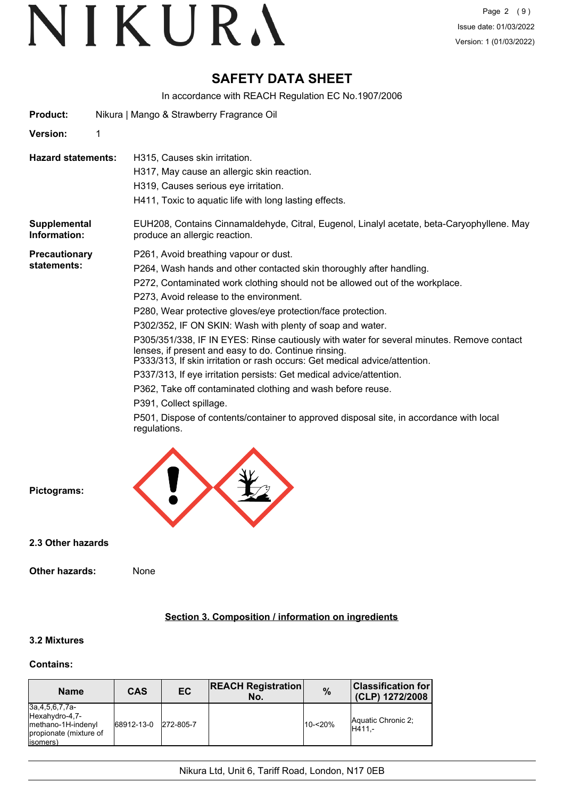# **SAFETY DATA SHEET**

In accordance with REACH Regulation EC No.1907/2006

| <b>Product:</b>              |   | Nikura   Mango & Strawberry Fragrance Oil                                                                                                                                                                                                                                                                                                                                                                                                                                                                                                                                                                                                                                                                                                                                                                                                                                            |  |  |  |  |
|------------------------------|---|--------------------------------------------------------------------------------------------------------------------------------------------------------------------------------------------------------------------------------------------------------------------------------------------------------------------------------------------------------------------------------------------------------------------------------------------------------------------------------------------------------------------------------------------------------------------------------------------------------------------------------------------------------------------------------------------------------------------------------------------------------------------------------------------------------------------------------------------------------------------------------------|--|--|--|--|
| Version:                     | 1 |                                                                                                                                                                                                                                                                                                                                                                                                                                                                                                                                                                                                                                                                                                                                                                                                                                                                                      |  |  |  |  |
| <b>Hazard statements:</b>    |   | H315, Causes skin irritation.<br>H317, May cause an allergic skin reaction.<br>H319, Causes serious eye irritation.<br>H411, Toxic to aquatic life with long lasting effects.                                                                                                                                                                                                                                                                                                                                                                                                                                                                                                                                                                                                                                                                                                        |  |  |  |  |
| Supplemental<br>Information: |   | EUH208, Contains Cinnamaldehyde, Citral, Eugenol, Linalyl acetate, beta-Caryophyllene. May<br>produce an allergic reaction.                                                                                                                                                                                                                                                                                                                                                                                                                                                                                                                                                                                                                                                                                                                                                          |  |  |  |  |
| Precautionary<br>statements: |   | P261, Avoid breathing vapour or dust.<br>P264, Wash hands and other contacted skin thoroughly after handling.<br>P272, Contaminated work clothing should not be allowed out of the workplace.<br>P273, Avoid release to the environment.<br>P280, Wear protective gloves/eye protection/face protection.<br>P302/352, IF ON SKIN: Wash with plenty of soap and water.<br>P305/351/338, IF IN EYES: Rinse cautiously with water for several minutes. Remove contact<br>lenses, if present and easy to do. Continue rinsing.<br>P333/313, If skin irritation or rash occurs: Get medical advice/attention.<br>P337/313, If eye irritation persists: Get medical advice/attention.<br>P362, Take off contaminated clothing and wash before reuse.<br>P391, Collect spillage.<br>P501, Dispose of contents/container to approved disposal site, in accordance with local<br>regulations. |  |  |  |  |



**2.3 Other hazards**

### **Section 3. Composition / information on ingredients**

## **3.2 Mixtures**

#### **Contains:**

| <b>Name</b>                                                                                          | <b>CAS</b> | EC        | <b>REACH Registration</b><br>No. | $\frac{9}{6}$ | <b>Classification for</b><br>(CLP) 1272/2008 |
|------------------------------------------------------------------------------------------------------|------------|-----------|----------------------------------|---------------|----------------------------------------------|
| $3a, 4, 5, 6, 7, 7a-$<br>Hexahydro-4,7-<br>methano-1H-indenyl<br>propionate (mixture of<br>(isomers) | 68912-13-0 | 272-805-7 |                                  | 10-<20%       | Aquatic Chronic 2:<br>IH411.-                |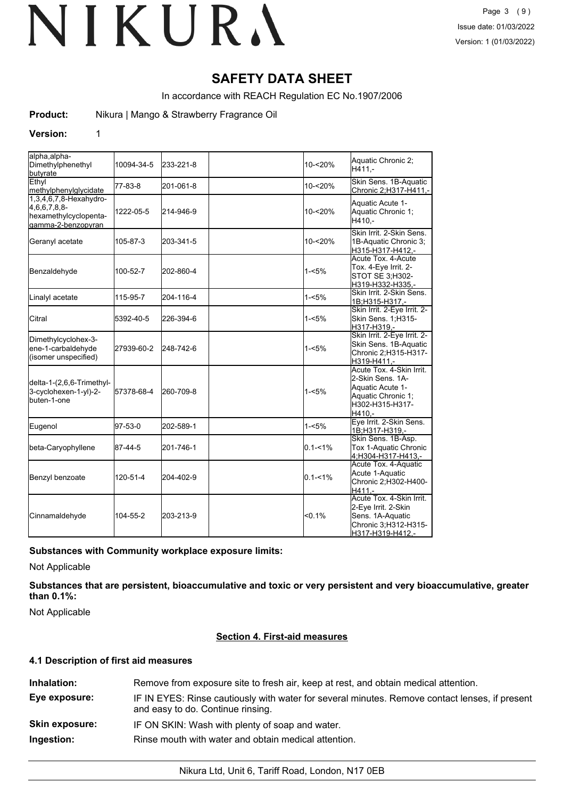# **SAFETY DATA SHEET**

In accordance with REACH Regulation EC No.1907/2006

**Product:** Nikura | Mango & Strawberry Fragrance Oil

#### **Version:** 1

| alpha, alpha-<br>Dimethylphenethyl<br>butyrate                                         | 10094-34-5 | 233-221-8 | 10-<20%     | Aquatic Chronic 2:<br>H411.-                                                                                           |
|----------------------------------------------------------------------------------------|------------|-----------|-------------|------------------------------------------------------------------------------------------------------------------------|
| Ethyl<br><b>Imethylphenylglycidate</b>                                                 | 77-83-8    | 201-061-8 | 10-<20%     | Skin Sens. 1B-Aquatic<br>Chronic 2;H317-H411,-                                                                         |
| 1,3,4,6,7,8-Hexahydro-<br>[4,6,6,7,8,8]<br>hexamethylcyclopenta-<br>gamma-2-benzopyran | 1222-05-5  | 214-946-9 | 10-<20%     | Aquatic Acute 1-<br>Aquatic Chronic 1;<br>H410,-                                                                       |
| Geranyl acetate                                                                        | 105-87-3   | 203-341-5 | 10-<20%     | Skin Irrit, 2-Skin Sens.<br>1B-Aquatic Chronic 3;<br>H315-H317-H412.-                                                  |
| Benzaldehyde                                                                           | 100-52-7   | 202-860-4 | $1 - 5%$    | Acute Tox. 4-Acute<br>Tox. 4-Eye Irrit. 2-<br>STOT SE 3; H302-<br>H319-H332-H335,-                                     |
| Linalyl acetate                                                                        | 115-95-7   | 204-116-4 | $1 - 5%$    | lSkin Irrit. 2-Skin Sens.<br>1B;H315-H317 -                                                                            |
| Citral                                                                                 | 5392-40-5  | 226-394-6 | $1 - 5%$    | Skin Irrit. 2-Eye Irrit. 2-<br>Skin Sens. 1;H315-<br>H317-H319.-                                                       |
| Dimethylcyclohex-3-<br>ene-1-carbaldehyde<br>(isomer unspecified)                      | 27939-60-2 | 248-742-6 | $1 - 5%$    | Skin Irrit. 2-Eye Irrit. 2-<br>Skin Sens. 1B-Aquatic<br>Chronic 2;H315-H317-<br>H319-H411.-                            |
| delta-1-(2,6,6-Trimethyl-<br>3-cyclohexen-1-yl)-2-<br>buten-1-one                      | 57378-68-4 | 260-709-8 | $1 - 5%$    | Acute Tox. 4-Skin Irrit.<br>2-Skin Sens, 1A-<br>Aquatic Acute 1-<br>Aquatic Chronic 1:<br>H302-H315-H317-<br>H410.-    |
| Eugenol                                                                                | 97-53-0    | 202-589-1 | $1 - 5%$    | Eye Irrit. 2-Skin Sens.<br>1B;H317-H319,-                                                                              |
| beta-Caryophyllene                                                                     | 87-44-5    | 201-746-1 | $0.1 - 1%$  | Skin Sens. 1B-Asp.<br>Tox 1-Aquatic Chronic<br>4;H304-H317-H413,-                                                      |
| Benzyl benzoate                                                                        | 120-51-4   | 204-402-9 | $0.1 - 1\%$ | Acute Tox. 4-Aquatic<br>Acute 1-Aquatic<br>Chronic 2;H302-H400-<br>H411.-                                              |
| Cinnamaldehyde                                                                         | 104-55-2   | 203-213-9 | < 0.1%      | Acute Tox. 4-Skin Irrit.<br>2-Eye Irrit. 2-Skin<br>Sens. 1A-Aquatic<br>Chronic 3;H312-H315-<br><u>H317-H319-H412,-</u> |

#### **Substances with Community workplace exposure limits:**

Not Applicable

**Substances that are persistent, bioaccumulative and toxic or very persistent and very bioaccumulative, greater than 0.1%:**

Not Applicable

#### **Section 4. First-aid measures**

#### **4.1 Description of first aid measures**

| Inhalation:           | Remove from exposure site to fresh air, keep at rest, and obtain medical attention.                                                 |
|-----------------------|-------------------------------------------------------------------------------------------------------------------------------------|
| Eye exposure:         | IF IN EYES: Rinse cautiously with water for several minutes. Remove contact lenses, if present<br>and easy to do. Continue rinsing. |
| <b>Skin exposure:</b> | IF ON SKIN: Wash with plenty of soap and water.                                                                                     |
| Ingestion:            | Rinse mouth with water and obtain medical attention.                                                                                |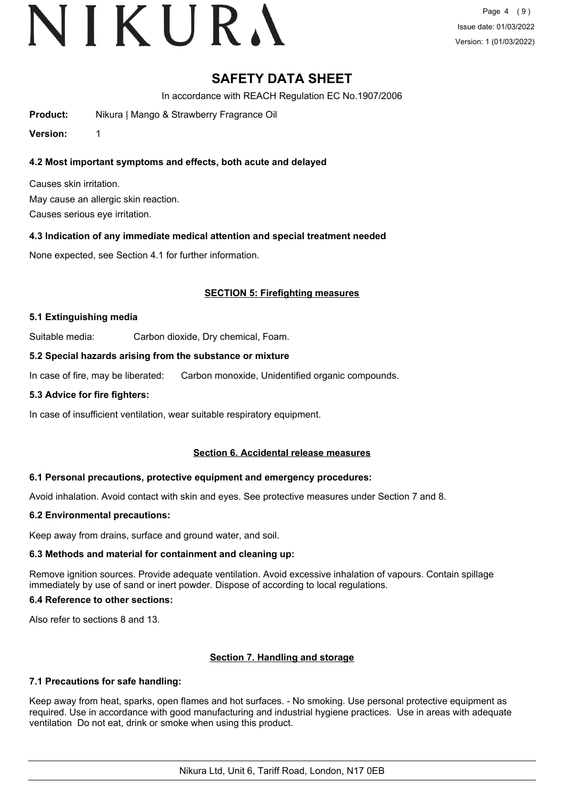# VIKURA

Page 4 (9) Issue date: 01/03/2022 Version: 1 (01/03/2022)

# **SAFETY DATA SHEET**

In accordance with REACH Regulation EC No.1907/2006

**Product:** Nikura | Mango & Strawberry Fragrance Oil

**Version:** 1

## **4.2 Most important symptoms and effects, both acute and delayed**

Causes skin irritation. May cause an allergic skin reaction.

Causes serious eye irritation.

### **4.3 Indication of any immediate medical attention and special treatment needed**

None expected, see Section 4.1 for further information.

### **SECTION 5: Firefighting measures**

#### **5.1 Extinguishing media**

Suitable media: Carbon dioxide, Dry chemical, Foam.

#### **5.2 Special hazards arising from the substance or mixture**

In case of fire, may be liberated: Carbon monoxide, Unidentified organic compounds.

#### **5.3 Advice for fire fighters:**

In case of insufficient ventilation, wear suitable respiratory equipment.

#### **Section 6. Accidental release measures**

#### **6.1 Personal precautions, protective equipment and emergency procedures:**

Avoid inhalation. Avoid contact with skin and eyes. See protective measures under Section 7 and 8.

#### **6.2 Environmental precautions:**

Keep away from drains, surface and ground water, and soil.

### **6.3 Methods and material for containment and cleaning up:**

Remove ignition sources. Provide adequate ventilation. Avoid excessive inhalation of vapours. Contain spillage immediately by use of sand or inert powder. Dispose of according to local regulations.

#### **6.4 Reference to other sections:**

Also refer to sections 8 and 13.

#### **Section 7. Handling and storage**

#### **7.1 Precautions for safe handling:**

Keep away from heat, sparks, open flames and hot surfaces. - No smoking. Use personal protective equipment as required. Use in accordance with good manufacturing and industrial hygiene practices. Use in areas with adequate ventilation Do not eat, drink or smoke when using this product.

Nikura Ltd, Unit 6, Tariff Road, London, N17 0EB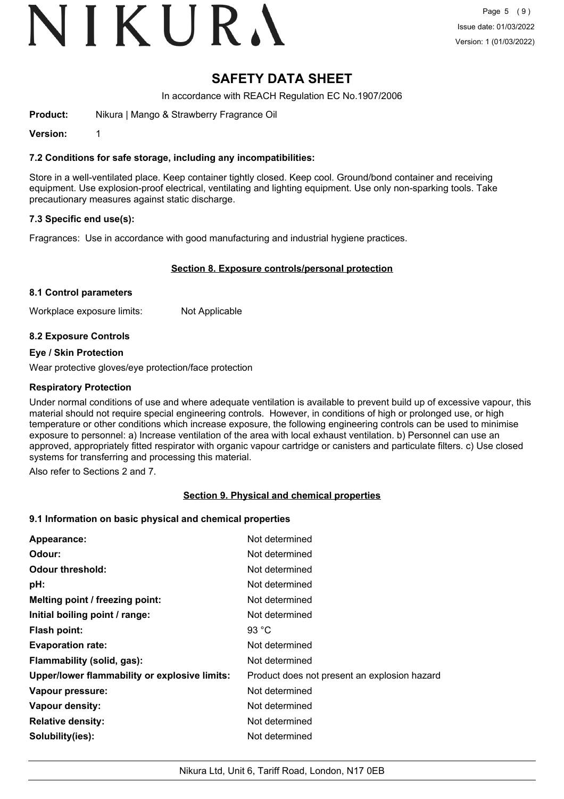# VIKURA

# **SAFETY DATA SHEET**

In accordance with REACH Regulation EC No.1907/2006

**Product:** Nikura | Mango & Strawberry Fragrance Oil

**Version:** 1

#### **7.2 Conditions for safe storage, including any incompatibilities:**

Store in a well-ventilated place. Keep container tightly closed. Keep cool. Ground/bond container and receiving equipment. Use explosion-proof electrical, ventilating and lighting equipment. Use only non-sparking tools. Take precautionary measures against static discharge.

### **7.3 Specific end use(s):**

Fragrances: Use in accordance with good manufacturing and industrial hygiene practices.

#### **Section 8. Exposure controls/personal protection**

#### **8.1 Control parameters**

Workplace exposure limits: Not Applicable

#### **8.2 Exposure Controls**

#### **Eye / Skin Protection**

Wear protective gloves/eye protection/face protection

#### **Respiratory Protection**

Under normal conditions of use and where adequate ventilation is available to prevent build up of excessive vapour, this material should not require special engineering controls. However, in conditions of high or prolonged use, or high temperature or other conditions which increase exposure, the following engineering controls can be used to minimise exposure to personnel: a) Increase ventilation of the area with local exhaust ventilation. b) Personnel can use an approved, appropriately fitted respirator with organic vapour cartridge or canisters and particulate filters. c) Use closed systems for transferring and processing this material.

Also refer to Sections 2 and 7.

#### **Section 9. Physical and chemical properties**

#### **9.1 Information on basic physical and chemical properties**

| Appearance:                                   | Not determined                               |
|-----------------------------------------------|----------------------------------------------|
| Odour:                                        | Not determined                               |
| <b>Odour threshold:</b>                       | Not determined                               |
| pH:                                           | Not determined                               |
| Melting point / freezing point:               | Not determined                               |
| Initial boiling point / range:                | Not determined                               |
| <b>Flash point:</b>                           | 93 $^{\circ}$ C                              |
| <b>Evaporation rate:</b>                      | Not determined                               |
| Flammability (solid, gas):                    | Not determined                               |
| Upper/lower flammability or explosive limits: | Product does not present an explosion hazard |
| Vapour pressure:                              | Not determined                               |
| Vapour density:                               | Not determined                               |
| <b>Relative density:</b>                      | Not determined                               |
| Solubility(ies):                              | Not determined                               |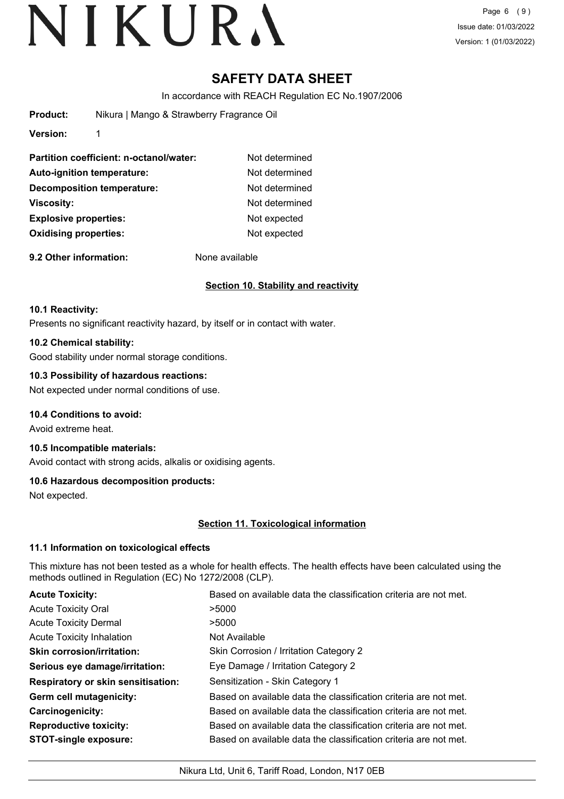Page 6 (9) Issue date: 01/03/2022 Version: 1 (01/03/2022)

# **SAFETY DATA SHEET**

In accordance with REACH Regulation EC No.1907/2006

| <b>Product:</b>              | Nikura   Mango & Strawberry Fragrance Oil |                |  |  |
|------------------------------|-------------------------------------------|----------------|--|--|
| <b>Version:</b>              | 1                                         |                |  |  |
|                              | Partition coefficient: n-octanol/water:   | Not determined |  |  |
|                              | Auto-ignition temperature:                | Not determined |  |  |
|                              | <b>Decomposition temperature:</b>         | Not determined |  |  |
| Viscosity:                   |                                           | Not determined |  |  |
| <b>Explosive properties:</b> |                                           | Not expected   |  |  |
| <b>Oxidising properties:</b> |                                           | Not expected   |  |  |

**9.2 Other information:** None available

### **Section 10. Stability and reactivity**

#### **10.1 Reactivity:**

Presents no significant reactivity hazard, by itself or in contact with water.

#### **10.2 Chemical stability:**

Good stability under normal storage conditions.

#### **10.3 Possibility of hazardous reactions:**

Not expected under normal conditions of use.

#### **10.4 Conditions to avoid:**

Avoid extreme heat.

# **10.5 Incompatible materials:**

Avoid contact with strong acids, alkalis or oxidising agents.

#### **10.6 Hazardous decomposition products:**

Not expected.

## **Section 11. Toxicological information**

#### **11.1 Information on toxicological effects**

This mixture has not been tested as a whole for health effects. The health effects have been calculated using the methods outlined in Regulation (EC) No 1272/2008 (CLP).

| <b>Acute Toxicity:</b>                    | Based on available data the classification criteria are not met. |  |  |
|-------------------------------------------|------------------------------------------------------------------|--|--|
| <b>Acute Toxicity Oral</b>                | >5000                                                            |  |  |
| <b>Acute Toxicity Dermal</b>              | >5000                                                            |  |  |
| <b>Acute Toxicity Inhalation</b>          | Not Available                                                    |  |  |
| <b>Skin corrosion/irritation:</b>         | Skin Corrosion / Irritation Category 2                           |  |  |
| Serious eye damage/irritation:            | Eye Damage / Irritation Category 2                               |  |  |
| <b>Respiratory or skin sensitisation:</b> | Sensitization - Skin Category 1                                  |  |  |
| Germ cell mutagenicity:                   | Based on available data the classification criteria are not met. |  |  |
| <b>Carcinogenicity:</b>                   | Based on available data the classification criteria are not met. |  |  |
| <b>Reproductive toxicity:</b>             | Based on available data the classification criteria are not met. |  |  |
| <b>STOT-single exposure:</b>              | Based on available data the classification criteria are not met. |  |  |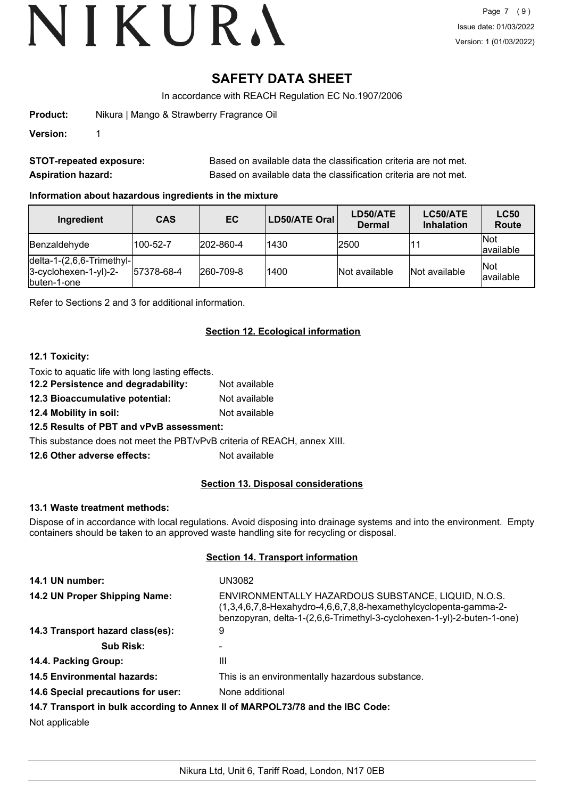# **SAFETY DATA SHEET**

In accordance with REACH Regulation EC No.1907/2006

**Product:** Nikura | Mango & Strawberry Fragrance Oil

**Version:** 1

| <b>STOT-repeated exposure:</b> | Based on available data the classification criteria are not met. |
|--------------------------------|------------------------------------------------------------------|
| <b>Aspiration hazard:</b>      | Based on available data the classification criteria are not met. |

## **Information about hazardous ingredients in the mixture**

| Ingredient                                                                              | <b>CAS</b> | EC.               | LD50/ATE Oral | LD50/ATE<br><b>Dermal</b> | LC50/ATE<br><b>Inhalation</b> | <b>LC50</b><br>Route    |
|-----------------------------------------------------------------------------------------|------------|-------------------|---------------|---------------------------|-------------------------------|-------------------------|
| Benzaldehyde                                                                            | 100-52-7   | $ 202 - 860 - 4 $ | 1430          | 2500                      |                               | <b>Not</b><br>available |
| $\left $ delta-1-(2,6,6-Trimethyl- $\right $<br>$3-cyclohexen-1-yl)-2-$<br>lbuten-1-one | 57378-68-4 | $ 260 - 709 - 8 $ | 1400          | Not available             | Not available                 | <b>Not</b><br>available |

Refer to Sections 2 and 3 for additional information.

# **Section 12. Ecological information**

### **12.1 Toxicity:**

Toxic to aquatic life with long lasting effects.

| 12.2 Persistence and degradability: | Not available |
|-------------------------------------|---------------|
| 12.3 Bioaccumulative potential:     | Not available |

**12.4 Mobility in soil:** Not available

## **12.5 Results of PBT and vPvB assessment:**

This substance does not meet the PBT/vPvB criteria of REACH, annex XIII.

**12.6 Other adverse effects:** Not available

## **Section 13. Disposal considerations**

#### **13.1 Waste treatment methods:**

Dispose of in accordance with local regulations. Avoid disposing into drainage systems and into the environment. Empty containers should be taken to an approved waste handling site for recycling or disposal.

### **Section 14. Transport information**

| 14.1 UN number:                                                               | UN3082                                                                                                                                                                                            |  |
|-------------------------------------------------------------------------------|---------------------------------------------------------------------------------------------------------------------------------------------------------------------------------------------------|--|
| 14.2 UN Proper Shipping Name:                                                 | ENVIRONMENTALLY HAZARDOUS SUBSTANCE, LIQUID, N.O.S.<br>(1,3,4,6,7,8-Hexahydro-4,6,6,7,8,8-hexamethylcyclopenta-gamma-2-<br>benzopyran, delta-1-(2,6,6-Trimethyl-3-cyclohexen-1-yl)-2-buten-1-one) |  |
| 14.3 Transport hazard class(es):                                              | 9                                                                                                                                                                                                 |  |
| <b>Sub Risk:</b>                                                              |                                                                                                                                                                                                   |  |
| 14.4. Packing Group:                                                          | Ш                                                                                                                                                                                                 |  |
| <b>14.5 Environmental hazards:</b>                                            | This is an environmentally hazardous substance.                                                                                                                                                   |  |
| 14.6 Special precautions for user:                                            | None additional                                                                                                                                                                                   |  |
| 14.7 Transport in bulk according to Annex II of MARPOL73/78 and the IBC Code: |                                                                                                                                                                                                   |  |

Not applicable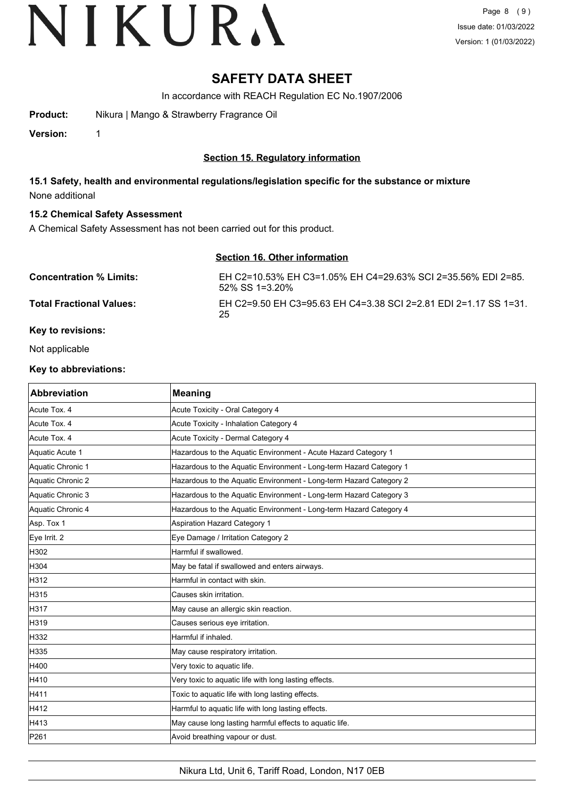# **SAFETY DATA SHEET**

In accordance with REACH Regulation EC No.1907/2006

**Product:** Nikura | Mango & Strawberry Fragrance Oil

**Version:** 1

## **Section 15. Regulatory information**

**15.1 Safety, health and environmental regulations/legislation specific for the substance or mixture** None additional

#### **15.2 Chemical Safety Assessment**

A Chemical Safety Assessment has not been carried out for this product.

### **Section 16. Other information**

| <b>Concentration % Limits:</b>  | EH C2=10.53% EH C3=1.05% EH C4=29.63% SCI 2=35.56% EDI 2=85.<br>$52\%$ SS 1=3.20% |
|---------------------------------|-----------------------------------------------------------------------------------|
| <b>Total Fractional Values:</b> | EH C2=9.50 EH C3=95.63 EH C4=3.38 SCI 2=2.81 EDI 2=1.17 SS 1=31.<br>-25           |

## **Key to revisions:**

Not applicable

#### **Key to abbreviations:**

| <b>Abbreviation</b> | <b>Meaning</b>                                                     |
|---------------------|--------------------------------------------------------------------|
| Acute Tox. 4        | Acute Toxicity - Oral Category 4                                   |
| Acute Tox. 4        | Acute Toxicity - Inhalation Category 4                             |
| Acute Tox. 4        | Acute Toxicity - Dermal Category 4                                 |
| Aquatic Acute 1     | Hazardous to the Aquatic Environment - Acute Hazard Category 1     |
| Aquatic Chronic 1   | Hazardous to the Aquatic Environment - Long-term Hazard Category 1 |
| Aquatic Chronic 2   | Hazardous to the Aquatic Environment - Long-term Hazard Category 2 |
| Aquatic Chronic 3   | Hazardous to the Aquatic Environment - Long-term Hazard Category 3 |
| Aquatic Chronic 4   | Hazardous to the Aquatic Environment - Long-term Hazard Category 4 |
| Asp. Tox 1          | Aspiration Hazard Category 1                                       |
| Eye Irrit. 2        | Eye Damage / Irritation Category 2                                 |
| H302                | Harmful if swallowed.                                              |
| H304                | May be fatal if swallowed and enters airways.                      |
| H312                | Harmful in contact with skin.                                      |
| H315                | Causes skin irritation.                                            |
| H317                | May cause an allergic skin reaction.                               |
| H319                | Causes serious eye irritation.                                     |
| H332                | Harmful if inhaled.                                                |
| H335                | May cause respiratory irritation.                                  |
| H400                | Very toxic to aquatic life.                                        |
| H410                | Very toxic to aquatic life with long lasting effects.              |
| H411                | Toxic to aquatic life with long lasting effects.                   |
| H412                | Harmful to aquatic life with long lasting effects.                 |
| H413                | May cause long lasting harmful effects to aquatic life.            |
| P261                | Avoid breathing vapour or dust.                                    |